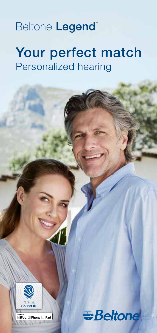### Beltone Legend<sup>®</sup>

# Your perfect match Personalized hearing



™<br>**SiPod □iPhone** □iPad

**Beltone**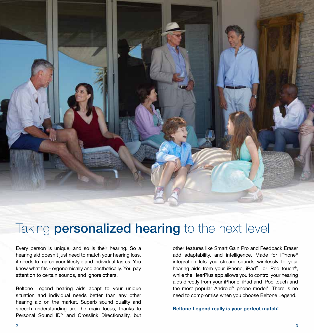

### Taking **personalized hearing** to the next level

Every person is unique, and so is their hearing. So a hearing aid doesn't just need to match your hearing loss, it needs to match your lifestyle and individual tastes. You know what fits - ergonomically and aesthetically. You pay attention to certain sounds, and ignore others.

Beltone Legend hearing aids adapt to your unique situation and individual needs better than any other hearing aid on the market. Superb sound quality and speech understanding are the main focus, thanks to Personal Sound ID™ and Crosslink Directionality, but

other features like Smart Gain Pro and Feedback Eraser add adaptability, and intelligence. Made for iPhone® integration lets you stream sounds wirelessly to your hearing aids from your iPhone, iPad® or iPod touch®, while the HearPlus app allows you to control your hearing aids directly from your iPhone, iPad and iPod touch and the most popular Android™ phone model\*. There is no need to compromise when you choose Beltone Legend.

Beltone Legend really is your perfect match!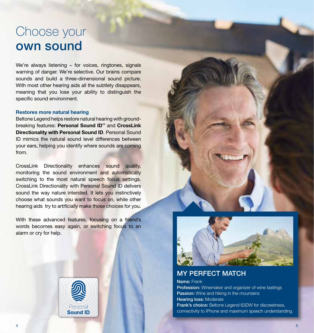### Choose your own sound

We're always listening – for voices, ringtones, signals warning of danger. We're selective. Our brains compare sounds and build a three-dimensional sound picture. With most other hearing aids all the subtlety disappears, meaning that you lose your ability to distinguish the specific sound environment.

#### Restores more natural hearing

Beltone Legend helps restore natural hearing with groundbreaking features: Personal Sound ID™ and CrossLink Directionality with Personal Sound ID. Personal Sound ID mimics the natural sound level differences between your ears, helping you identify where sounds are coming from.

CrossLink Directionality enhances sound quality, monitoring the sound environment and automatically switching to the most natural speech focus settings. CrossLink Directionality with Personal Sound ID delivers sound the way nature intended. It lets you instinctively choose what sounds you want to focus on, while other hearing aids try to artificially make those choices for you.

With these advanced features, focusing on a friend's words becomes easy again, or switching focus to an alarm or cry for help.



### MY PERFECT MATCH

Name: Frank **Profession:** Winemaker and organizer of wine tastings **Passion:** Wine and hiking in the mountains Hearing loss: Moderate Frank's choice: Beltone Legend 63DW for discreetness, connectivity to iPhone and maximum speech understanding.

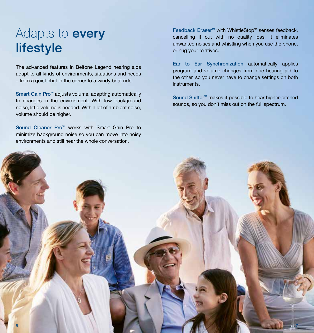## Adapts to **every** lifestyle

The advanced features in Beltone Legend hearing aids adapt to all kinds of environments, situations and needs – from a quiet chat in the corner to a windy boat ride.

Smart Gain Pro™ adjusts volume, adapting automatically to changes in the environment. With low background noise, little volume is needed. With a lot of ambient noise, volume should be higher.

Sound Cleaner Pro™ works with Smart Gain Pro to minimize background noise so you can move into noisy environments and still hear the whole conversation.

Feedback Eraser™ with WhistleStop™ senses feedback, cancelling it out with no quality loss. It eliminates unwanted noises and whistling when you use the phone, or hug your relatives.

Ear to Ear Synchronization automatically applies program and volume changes from one hearing aid to the other, so you never have to change settings on both instruments.

Sound Shifter™ makes it possible to hear higher-pitched sounds, so you don't miss out on the full spectrum.

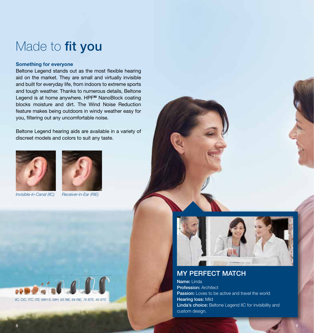### Made to fit you

#### Something for everyone

Beltone Legend stands out as the most flexible hearing aid on the market. They are small and virtually invisible and built for everyday life, from indoors to extreme sports and tough weather. Thanks to numerous details, Beltone Legend is at home anywhere. HPF<sup>80</sup> NanoBlock coating blocks moisture and dirt. The Wind Noise Reduction feature makes being outdoors in windy weather easy for you, filtering out any uncomfortable noise.

Beltone Legend hearing aids are available in a variety of discreet models and colors to suit any taste.







Receiver-in-Ear (RIE)





### MY PERFECT MATCH

Name: Linda Profession: Architect Passion: Loves to be active and travel the world Hearing loss: Mild Linda's choice: Beltone Legend IIC for invisibility and custom design.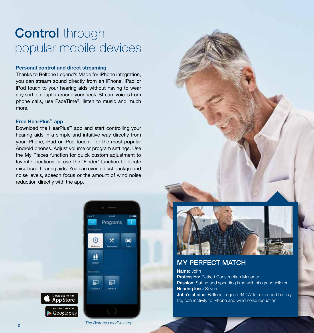# **Control** through popular mobile devices

#### Personal control and direct streaming

Thanks to Beltone Legend's Made for iPhone integration, you can stream sound directly from an iPhone, iPad or iPod touch to your hearing aids without having to wear any sort of adapter around your neck. Stream voices from phone calls, use FaceTime®, listen to music and much more.

#### Free HearPlus™ app

Download the HearPlus™ app and start controlling your hearing aids in a simple and intuitive way directly from your iPhone, iPad or iPod touch – or the most popular Android phones. Adjust volume or program settings. Use the My Places function for quick custom adjustment to favorite locations or use the 'Finder' function to locate misplaced hearing aids. You can even adjust background noise levels, speech focus or the amount of wind noise reduction directly with the app.





### MY PERFECT MATCH

Name: John Profession: Retired Construction Manager Passion: Sailing and spending time with his grandchildren Hearing loss: Severe John's choice: Beltone Legend 64DW for extended battery life, connectivity to iPhone and wind noise reduction.

pp Store Google play